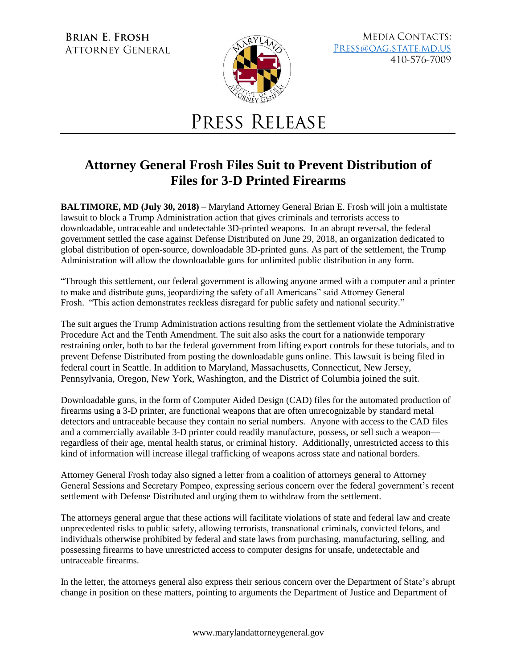**BRIAN E. FROSH ATTORNEY GENERAL** 



**MEDIA CONTACTS:** PRESS@OAG.STATE.MD.US 410-576-7009

## PRESS RELEASE

## **Attorney General Frosh Files Suit to Prevent Distribution of Files for 3-D Printed Firearms**

**BALTIMORE, MD (July 30, 2018)** – Maryland Attorney General Brian E. Frosh will join a multistate lawsuit to block a Trump Administration action that gives criminals and terrorists access to downloadable, untraceable and undetectable 3D-printed weapons. In an abrupt reversal, the federal government settled the case against Defense Distributed on June 29, 2018, an organization dedicated to global distribution of open-source, downloadable 3D-printed guns. As part of the settlement, the Trump Administration will allow the downloadable guns for unlimited public distribution in any form.

"Through this settlement, our federal government is allowing anyone armed with a computer and a printer to make and distribute guns, jeopardizing the safety of all Americans" said Attorney General Frosh. "This action demonstrates reckless disregard for public safety and national security."

The suit argues the Trump Administration actions resulting from the settlement violate the Administrative Procedure Act and the Tenth Amendment. The suit also asks the court for a nationwide temporary restraining order, both to bar the federal government from lifting export controls for these tutorials, and to prevent Defense Distributed from posting the downloadable guns online. This lawsuit is being filed in federal court in Seattle. In addition to Maryland, Massachusetts, Connecticut, New Jersey, Pennsylvania, Oregon, New York, Washington, and the District of Columbia joined the suit.

Downloadable guns, in the form of Computer Aided Design (CAD) files for the automated production of firearms using a 3-D printer, are functional weapons that are often unrecognizable by standard metal detectors and untraceable because they contain no serial numbers. Anyone with access to the CAD files and a commercially available 3-D printer could readily manufacture, possess, or sell such a weapon regardless of their age, mental health status, or criminal history. Additionally, unrestricted access to this kind of information will increase illegal trafficking of weapons across state and national borders.

Attorney General Frosh today also signed a letter from a coalition of attorneys general to Attorney General Sessions and Secretary Pompeo, expressing serious concern over the federal government's recent settlement with Defense Distributed and urging them to withdraw from the settlement.

The attorneys general argue that these actions will facilitate violations of state and federal law and create unprecedented risks to public safety, allowing terrorists, transnational criminals, convicted felons, and individuals otherwise prohibited by federal and state laws from purchasing, manufacturing, selling, and possessing firearms to have unrestricted access to computer designs for unsafe, undetectable and untraceable firearms.

In the letter, the attorneys general also express their serious concern over the Department of State's abrupt change in position on these matters, pointing to arguments the Department of Justice and Department of